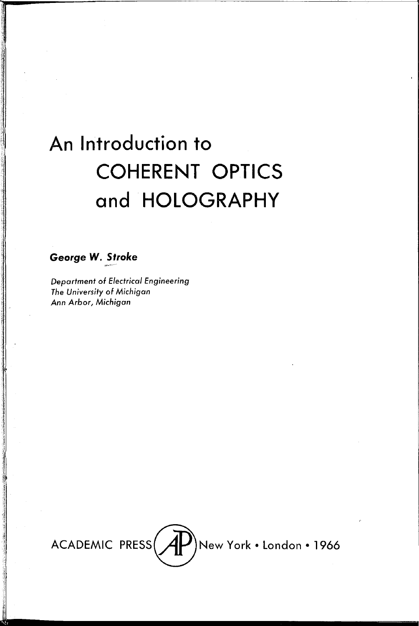# An Introduction to **COHERENT OPTICS** and HOLOGRAPHY

George W. Stroke

**Department of Electrical Engineering** The University of Michigan Ann Arbor, Michigan

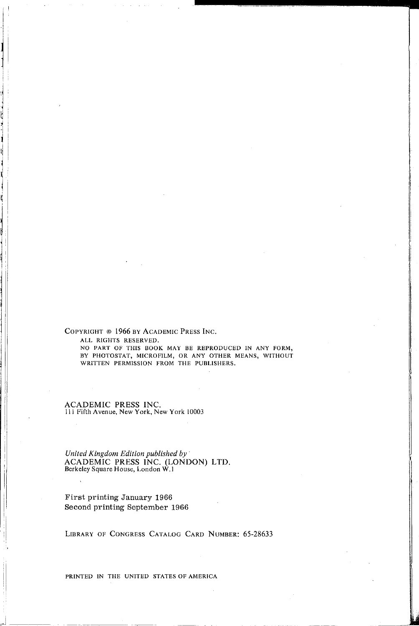COPYRIGHT © 1966 BY ACADEMIC PRESS INC. ALL RIGHTS RESERVED.

|<br>|<br>|

 $\mathbf{I}$ 

i<br>i<br>i<br>i<br>i<br>i<br>i<br>i<br>i<br>i<br>i<br>i<br>i<br>i<br>i<br>i<br>

l

<sup>I</sup>,rJ---

NO PART OF THIS BOOK MAY BE REPRODUCED IN ANY FORM, BY PHOTOSTAT, MICROFILM, OR ANY OTHER MEANS, WITHOUT WRITTEN PERMISSION FROM THE PUBLISHERS.

ACADEMIC PRESS INC. 111 Fifth Avenue, New York, New York 10003

*United Kingdom Edition published by*  ACADEMIC PRESS INC. (LONDON) LTD.<br>Berkeley Square House, London W.1

First printing January 1966 Second printing September 1966

LIBRARY OF CONGRESS CATALOG CARD NUMBER: 65-28633

PRINTED IN THE UNITED STATES OF AMERICA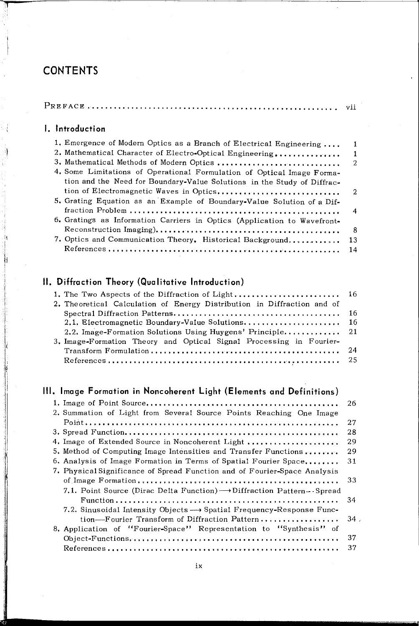## **CONTENTS**

|--|--|

## **I. Introduction**

| 1. Emergence of Modern Optics as a Branch of Electrical Engineering      | 1              |
|--------------------------------------------------------------------------|----------------|
| 2. Mathematical Character of Electro-Optical Engineering                 | $\mathbf{1}$   |
| 3. Mathematical Methods of Modern Optics                                 | -2             |
| 4. Some Limitations of Operational Formulation of Optical Image Forma-   |                |
| tion and the Need for Boundary-Value Solutions in the Study of Diffrac-  |                |
| tion of Electromagnetic Waves in Optics                                  | $\overline{2}$ |
| 5. Grating Equation as an Example of Boundary-Value Solution of a Dif-   |                |
|                                                                          | $\overline{4}$ |
| 6. Gratings as Information Carriers in Optics (Application to Wavefront- |                |
|                                                                          | -8             |
| 7. Optics and Communication Theory. Historical Background                | 13             |
|                                                                          | 14             |

## **11. Diffraction Theory (Qualitative Introduction)**

| 2. Theoretical Calculation of Energy Distribution in Diffraction and of |  |
|-------------------------------------------------------------------------|--|
|                                                                         |  |
|                                                                         |  |
|                                                                         |  |
| 3. Image-Formation Theory and Optical Signal Processing in Fourier-     |  |
|                                                                         |  |
|                                                                         |  |

## **Ill. Image Formation in Noncoherent Light (Elements and Definitions)**

|                                                                                    | 26     |
|------------------------------------------------------------------------------------|--------|
| 2. Summation of Light from Several Source Points Reaching One Image                |        |
|                                                                                    | 27     |
|                                                                                    | 28     |
| 4. Image of Extended Source in Noncoherent Light                                   | 29     |
| 5. Method of Computing Image Intensities and Transfer Functions                    | 29     |
| 6. Analysis of Image Formation in Terms of Spatial Fourier Space                   | 31     |
| 7. Physical Significance of Spread Function and of Fourier-Space Analysis          |        |
|                                                                                    | 33     |
| 7.1. Point Source (Dirac Delta Function) $\rightarrow$ Diffraction Pattern--Spread |        |
|                                                                                    | 34     |
| 7.2. Sinusoidal Intensity Objects $\rightarrow$ Spatial Frequency-Response Func-   |        |
| tion-Fourier Transform of Diffraction Pattern                                      | $34$ . |
| 8. Application of "Fourier-Space" Representation to "Synthesis" of                 |        |
|                                                                                    | 37     |
|                                                                                    | 37     |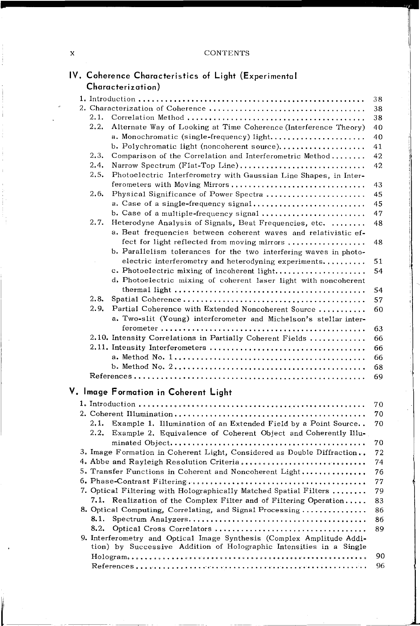### x CONTENTS

re de la companya de la companya de la companya de la companya de la companya de la companya de la companya de<br>La companya de la companya de la companya de la companya de la companya de la companya de la companya de la co<br>

| IV. Coherence Characteristics of Light (Experimental |  |  |
|------------------------------------------------------|--|--|
| Characterization)                                    |  |  |

•

 $\frac{1}{\sqrt{2}}$ 

|       |                                                                        | 38 |
|-------|------------------------------------------------------------------------|----|
|       |                                                                        | 38 |
| 2.1.  |                                                                        | 38 |
| 2, 2, | Alternate Way of Looking at Time Coherence (Interference Theory)       | 40 |
|       | a. Monochromatic (single-frequency) light                              | 40 |
|       | b. Polychromatic light (noncoherent source)                            | 41 |
| 2.3.  | Comparison of the Correlation and Interferometric Method               | 42 |
| 2.4.  | Narrow Spectrum (Flat-Top Line)                                        | 42 |
| 2.5.  | Photoelectric Interferometry with Gaussian Line Shapes, in Inter-      |    |
|       | ferometers with Moving Mirrors                                         | 43 |
| 2.6.  | Physical Significance of Power Spectra                                 | 45 |
|       | a. Case of a single-frequency signal                                   | 45 |
|       | b. Case of a multiple-frequency signal                                 | 47 |
| 2.7.  | Heterodyne Analysis of Signals, Beat Frequencies, etc.                 | 48 |
|       | a. Beat frequencies between coherent waves and relativistic ef-        |    |
|       | fect for light reflected from moving mirrors                           | 48 |
|       | b. Parallelism tolerances for the two interfering waves in photo-      |    |
|       | electric interferometry and heterodyning experiments                   | 51 |
|       | c. Photoelectric mixing of incoherent light                            | 54 |
|       |                                                                        |    |
|       | d. Photoelectric mixing of coherent laser light with noncoherent       |    |
|       |                                                                        | 54 |
| 2,8.  |                                                                        | 57 |
| 2.9.  | Partial Coherence with Extended Noncoherent Source                     | 60 |
|       | a. Two-slit (Young) interferometer and Michelson's stellar inter-      |    |
|       |                                                                        | 63 |
|       | 2.10. Intensity Correlations in Partially Coherent Fields              | 66 |
|       |                                                                        | 66 |
|       |                                                                        | 66 |
|       |                                                                        | 68 |
|       |                                                                        | 69 |
|       | V. Image Formation in Coherent Light                                   |    |
|       |                                                                        |    |
|       |                                                                        | 70 |
|       |                                                                        | 70 |
| 2.1.  | Example 1. Illumination of an Extended Field by a Point Source         | 70 |
| 2.2.  | Example 2. Equivalence of Coherent Object and Coherently Illu-         |    |
|       |                                                                        | 70 |
|       | 3. Image Formation in Coherent Light, Considered as Double Diffraction | 72 |
|       | 4. Abbe and Rayleigh Resolution Criteria                               | 74 |
|       | 5. Transfer Functions in Coherent and Noncoherent Light                | 76 |
|       |                                                                        | 77 |
|       | 7. Optical Filtering with Holographically Matched Spatial Filters      | 79 |
| 7.1.  | Realization of the Complex Filter and of Filtering Operation           | 83 |
|       | 8. Optical Computing, Correlating, and Signal Processing               | 86 |
| 8.1.  |                                                                        | 86 |
| 8.2.  |                                                                        | 89 |
|       | 9. Interferometry and Optical Image Synthesis (Complex Amplitude Addi- |    |
|       | tion) by Successive Addition of Holographic Intensities in a Single    |    |
|       |                                                                        | 90 |
|       |                                                                        | 96 |
|       |                                                                        |    |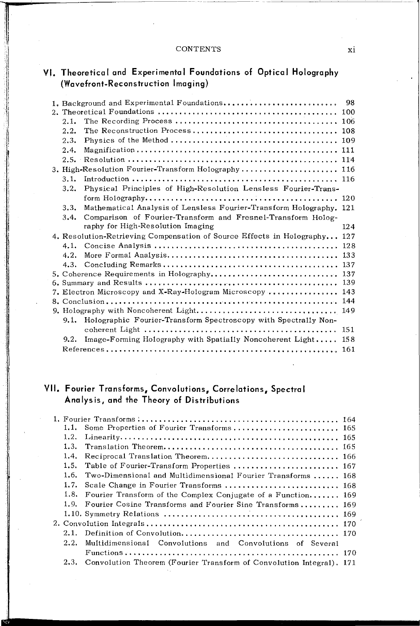#### **CONTENTS**

## **VI. Theoretical and Experimental Foundations of Optical Holography (Wavefront-Reconstruction Imaging)**

|  |      | 1. Background and Experimental Foundations                                | 98  |
|--|------|---------------------------------------------------------------------------|-----|
|  |      |                                                                           |     |
|  | 2.1. |                                                                           |     |
|  | 2.2. |                                                                           |     |
|  | 2.3. |                                                                           |     |
|  | 2.4. |                                                                           |     |
|  |      |                                                                           |     |
|  |      | 3. High-Resolution Fourier-Transform Holography 116                       |     |
|  | 3.1. |                                                                           |     |
|  | 3.2. | Physical Principles of High-Resolution Lensless Fourier-Trans-            |     |
|  |      |                                                                           |     |
|  | 3.3. | Mathematical Analysis of Lensless Fourier-Transform Holography. 121       |     |
|  | 3.4. | Comparison of Fourier-Transform and Fresnel-Transform Holog-              |     |
|  |      | raphy for High-Resolution Imaging                                         | 124 |
|  |      | 4. Resolution-Retrieving Compensation of Source Effects in Holography 127 |     |
|  | 4.1. |                                                                           |     |
|  | 4.2. |                                                                           |     |
|  | 4.3. |                                                                           |     |
|  |      |                                                                           |     |
|  |      |                                                                           |     |
|  |      | 7. Electron Microscopy and X-Ray-Hologram Microscopy  143                 |     |
|  |      |                                                                           |     |
|  |      | 9. Holography with Noncoherent Light 149                                  |     |
|  | 9.1. | Holographic Fourier-Transform Spectroscopy with Spectrally Non-           |     |
|  |      |                                                                           |     |
|  | 9.2. | Image-Forming Holography with Spatially Noncoherent Light                 | 158 |
|  |      |                                                                           |     |

## **VII. Fourier Transforms, Convolutions, Correlations, Spectral Analysis, and the Theory of Distributions**

|      | 1.1. Some Properties of Fourier Transforms 165                            |  |
|------|---------------------------------------------------------------------------|--|
| 1.2. |                                                                           |  |
| 1.3. |                                                                           |  |
| 1.4. |                                                                           |  |
| 1.5. | Table of Fourier-Transform Properties  167                                |  |
| 1.6. | Two-Dimensional and Multidimensional Fourier Transforms  168              |  |
| 1.7. |                                                                           |  |
|      | 1.8. Fourier Transform of the Complex Conjugate of a Function 169         |  |
|      | 1.9. Fourier Cosine Transforms and Fourier Sine Transforms 169            |  |
|      |                                                                           |  |
|      |                                                                           |  |
| 2.1. |                                                                           |  |
| 2.2. | Multidimensional Convolutions and Convolutions of Several                 |  |
|      |                                                                           |  |
|      | 2.3. Convolution Theorem (Fourier Transform of Convolution Integral), 171 |  |